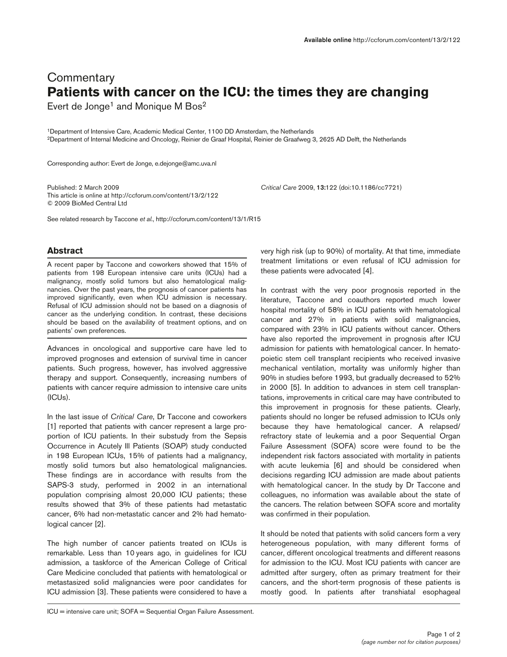## **Commentary Patients with cancer on the ICU: the times they are changing**

Evert de Jonge<sup>1</sup> and Monique M Bos<sup>2</sup>

1Department of Intensive Care, Academic Medical Center, 1100 DD Amsterdam, the Netherlands 2Department of Internal Medicine and Oncology, Reinier de Graaf Hospital, Reinier de Graafweg 3, 2625 AD Delft, the Netherlands

Corresponding author: Evert de Jonge, e.dejonge@amc.uva.nl

Published: 2 March 2009 *Critical Care* 2009, **13:**122 (doi:10.1186/cc7721) This article is online at http://ccforum.com/content/13/2/122 © 2009 BioMed Central Ltd

See related research by Taccone *et al.*, http://ccforum.com/content/13/1/R15

## **Abstract**

A recent paper by Taccone and coworkers showed that 15% of patients from 198 European intensive care units (ICUs) had a malignancy, mostly solid tumors but also hematological malignancies. Over the past years, the prognosis of cancer patients has improved significantly, even when ICU admission is necessary. Refusal of ICU admission should not be based on a diagnosis of cancer as the underlying condition. In contrast, these decisions should be based on the availability of treatment options, and on patients' own preferences.

Advances in oncological and supportive care have led to improved prognoses and extension of survival time in cancer patients. Such progress, however, has involved aggressive therapy and support. Consequently, increasing numbers of patients with cancer require admission to intensive care units (ICUs).

In the last issue of *Critical Care*, Dr Taccone and coworkers [1] reported that patients with cancer represent a large proportion of ICU patients. In their substudy from the Sepsis Occurrence in Acutely Ill Patients (SOAP) study conducted in 198 European ICUs, 15% of patients had a malignancy, mostly solid tumors but also hematological malignancies. These findings are in accordance with results from the SAPS-3 study, performed in 2002 in an international population comprising almost 20,000 ICU patients; these results showed that 3% of these patients had metastatic cancer, 6% had non-metastatic cancer and 2% had hematological cancer [2].

The high number of cancer patients treated on ICUs is remarkable. Less than 10 years ago, in guidelines for ICU admission, a taskforce of the American College of Critical Care Medicine concluded that patients with hematological or metastasized solid malignancies were poor candidates for ICU admission [3]. These patients were considered to have a

very high risk (up to 90%) of mortality. At that time, immediate treatment limitations or even refusal of ICU admission for these patients were advocated [4].

In contrast with the very poor prognosis reported in the literature, Taccone and coauthors reported much lower hospital mortality of 58% in ICU patients with hematological cancer and 27% in patients with solid malignancies, compared with 23% in ICU patients without cancer. Others have also reported the improvement in prognosis after ICU admission for patients with hematological cancer. In hematopoietic stem cell transplant recipients who received invasive mechanical ventilation, mortality was uniformly higher than 90% in studies before 1993, but gradually decreased to 52% in 2000 [5]. In addition to advances in stem cell transplantations, improvements in critical care may have contributed to this improvement in prognosis for these patients. Clearly, patients should no longer be refused admission to ICUs only because they have hematological cancer. A relapsed/ refractory state of leukemia and a poor Sequential Organ Failure Assessment (SOFA) score were found to be the independent risk factors associated with mortality in patients with acute leukemia [6] and should be considered when decisions regarding ICU admission are made about patients with hematological cancer. In the study by Dr Taccone and colleagues, no information was available about the state of the cancers. The relation between SOFA score and mortality was confirmed in their population.

It should be noted that patients with solid cancers form a very heterogeneous population, with many different forms of cancer, different oncological treatments and different reasons for admission to the ICU. Most ICU patients with cancer are admitted after surgery, often as primary treatment for their cancers, and the short-term prognosis of these patients is mostly good. In patients after transhiatal esophageal

ICU = intensive care unit; SOFA = Sequential Organ Failure Assessment.